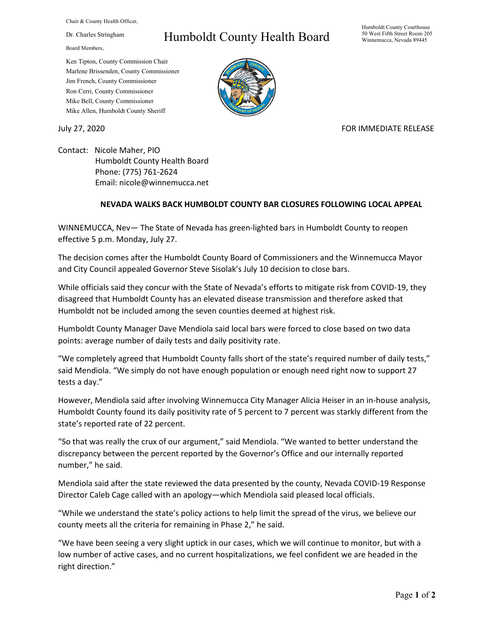Chair & County Health Officer,

Dr. Charles Stringham

Board Members,

### Ken Tipton, County Commission Chair Marlene Brissenden, County Commissioner Jim French, County Commissioner Ron Cerri, County Commissioner Mike Bell, County Commissioner Mike Allen, Humboldt County Sheriff

# Humboldt County Health Board

#### Humboldt County Courthouse 50 West Fifth Street Room 205 Winnemucca, Nevada 89445



## July 27, 2020 FOR IMMEDIATE RELEASE

Contact: Nicole Maher, PIO Humboldt County Health Board Phone: (775) 761-2624 Email: nicole@winnemucca.net

## **NEVADA WALKS BACK HUMBOLDT COUNTY BAR CLOSURES FOLLOWING LOCAL APPEAL**

WINNEMUCCA, Nev— The State of Nevada has green-lighted bars in Humboldt County to reopen effective 5 p.m. Monday, July 27.

The decision comes after the Humboldt County Board of Commissioners and the Winnemucca Mayor and City Council appealed Governor Steve Sisolak's July 10 decision to close bars.

While officials said they concur with the State of Nevada's efforts to mitigate risk from COVID-19, they disagreed that Humboldt County has an elevated disease transmission and therefore asked that Humboldt not be included among the seven counties deemed at highest risk.

Humboldt County Manager Dave Mendiola said local bars were forced to close based on two data points: average number of daily tests and daily positivity rate.

"We completely agreed that Humboldt County falls short of the state's required number of daily tests," said Mendiola. "We simply do not have enough population or enough need right now to support 27 tests a day."

However, Mendiola said after involving Winnemucca City Manager Alicia Heiser in an in-house analysis, Humboldt County found its daily positivity rate of 5 percent to 7 percent was starkly different from the state's reported rate of 22 percent.

"So that was really the crux of our argument," said Mendiola. "We wanted to better understand the discrepancy between the percent reported by the Governor's Office and our internally reported number," he said.

Mendiola said after the state reviewed the data presented by the county, Nevada COVID-19 Response Director Caleb Cage called with an apology—which Mendiola said pleased local officials.

"While we understand the state's policy actions to help limit the spread of the virus, we believe our county meets all the criteria for remaining in Phase 2," he said.

"We have been seeing a very slight uptick in our cases, which we will continue to monitor, but with a low number of active cases, and no current hospitalizations, we feel confident we are headed in the right direction."